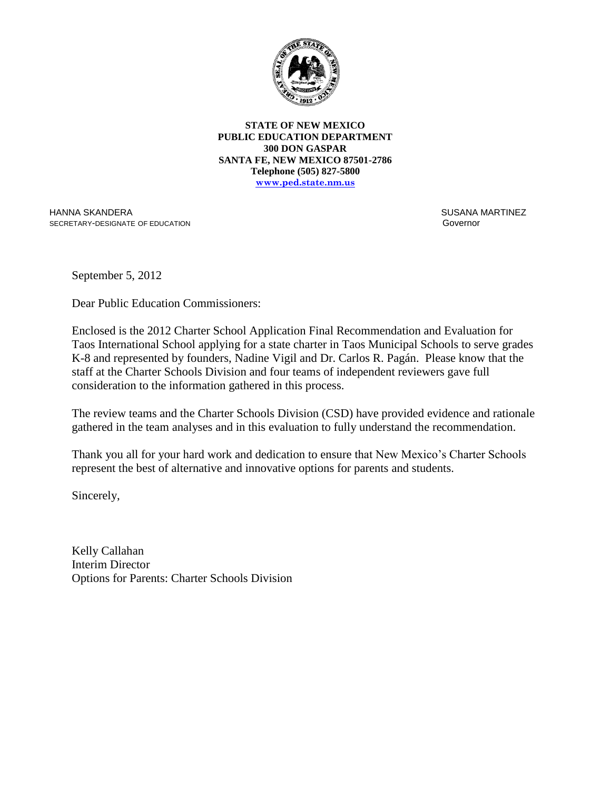

**STATE OF NEW MEXICO PUBLIC EDUCATION DEPARTMENT 300 DON GASPAR SANTA FE, NEW MEXICO 87501-2786 Telephone (505) 827-5800 www.ped.state.nm.us**

HANNA SKANDERA SECRETARY-DESIGNATE OF EDUCATION  SUSANA MARTINEZ Governor

September 5, 2012

Dear Public Education Commissioners:

Enclosed is the 2012 Charter School Application Final Recommendation and Evaluation for Taos International School applying for a state charter in Taos Municipal Schools to serve grades K-8 and represented by founders, Nadine Vigil and Dr. Carlos R. Pagán. Please know that the staff at the Charter Schools Division and four teams of independent reviewers gave full consideration to the information gathered in this process.

The review teams and the Charter Schools Division (CSD) have provided evidence and rationale gathered in the team analyses and in this evaluation to fully understand the recommendation.

Thank you all for your hard work and dedication to ensure that New Mexico's Charter Schools represent the best of alternative and innovative options for parents and students.

Sincerely,

Kelly Callahan Interim Director Options for Parents: Charter Schools Division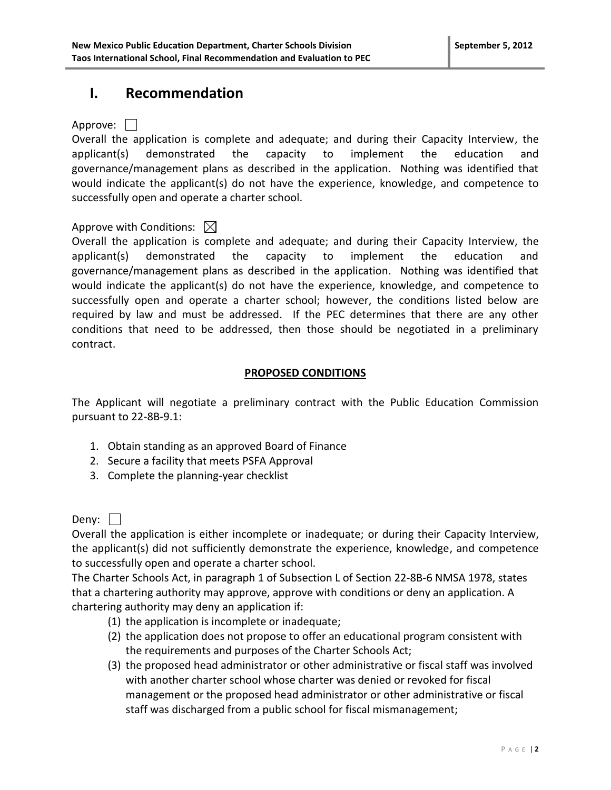### **I. Recommendation**

### Approve: | |

Overall the application is complete and adequate; and during their Capacity Interview, the applicant(s) demonstrated the capacity to implement the education and governance/management plans as described in the application. Nothing was identified that would indicate the applicant(s) do not have the experience, knowledge, and competence to successfully open and operate a charter school.

### Approve with Conditions:  $\boxtimes$

Overall the application is complete and adequate; and during their Capacity Interview, the applicant(s) demonstrated the capacity to implement the education and governance/management plans as described in the application. Nothing was identified that would indicate the applicant(s) do not have the experience, knowledge, and competence to successfully open and operate a charter school; however, the conditions listed below are required by law and must be addressed. If the PEC determines that there are any other conditions that need to be addressed, then those should be negotiated in a preliminary contract.

### **PROPOSED CONDITIONS**

The Applicant will negotiate a preliminary contract with the Public Education Commission pursuant to 22-8B-9.1:

- 1. Obtain standing as an approved Board of Finance
- 2. Secure a facility that meets PSFA Approval
- 3. Complete the planning-year checklist

Deny:  $\Box$ 

Overall the application is either incomplete or inadequate; or during their Capacity Interview, the applicant(s) did not sufficiently demonstrate the experience, knowledge, and competence to successfully open and operate a charter school.

The Charter Schools Act, in paragraph 1 of Subsection L of Section 22-8B-6 NMSA 1978, states that a chartering authority may approve, approve with conditions or deny an application. A chartering authority may deny an application if:

- (1) the application is incomplete or inadequate;
- (2) the application does not propose to offer an educational program consistent with the requirements and purposes of the Charter Schools Act;
- (3) the proposed head administrator or other administrative or fiscal staff was involved with another charter school whose charter was denied or revoked for fiscal management or the proposed head administrator or other administrative or fiscal staff was discharged from a public school for fiscal mismanagement;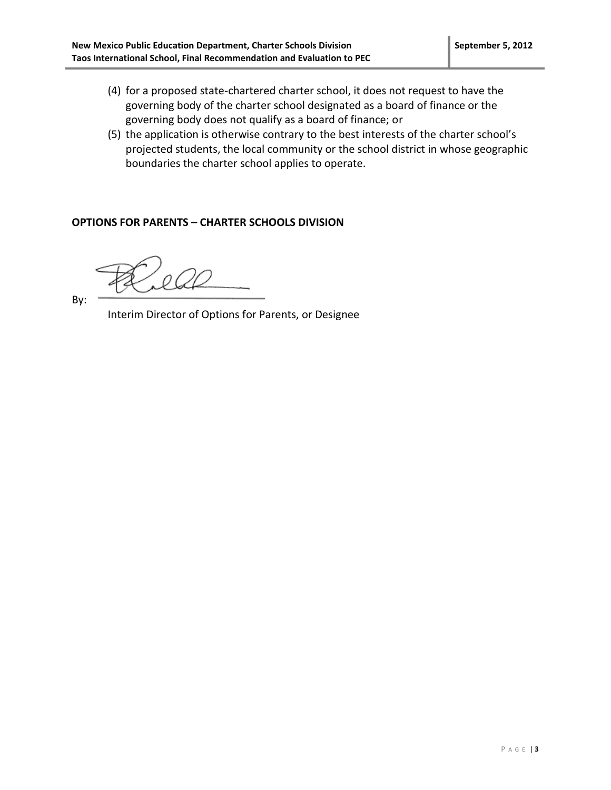- (4) for a proposed state-chartered charter school, it does not request to have the governing body of the charter school designated as a board of finance or the governing body does not qualify as a board of finance; or
- (5) the application is otherwise contrary to the best interests of the charter school's projected students, the local community or the school district in whose geographic boundaries the charter school applies to operate.

#### **OPTIONS FOR PARENTS – CHARTER SCHOOLS DIVISION**

By:

Interim Director of Options for Parents, or Designee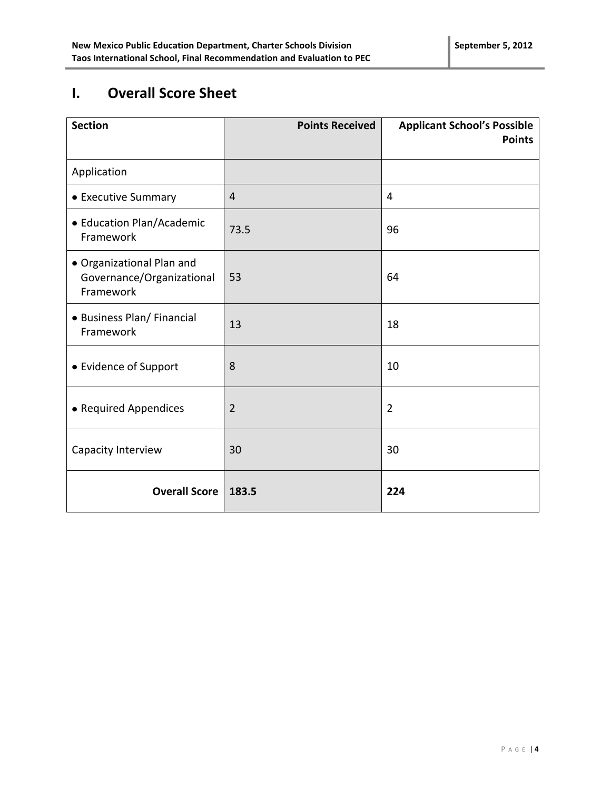# **I. Overall Score Sheet**

| <b>Section</b>                                                      | <b>Points Received</b> | <b>Applicant School's Possible</b><br><b>Points</b> |
|---------------------------------------------------------------------|------------------------|-----------------------------------------------------|
| Application                                                         |                        |                                                     |
| • Executive Summary                                                 | $\overline{4}$         | 4                                                   |
| • Education Plan/Academic<br>Framework                              | 73.5                   | 96                                                  |
| • Organizational Plan and<br>Governance/Organizational<br>Framework | 53                     | 64                                                  |
| • Business Plan/ Financial<br>Framework                             | 13                     | 18                                                  |
| • Evidence of Support                                               | 8                      | 10                                                  |
| • Required Appendices                                               | $\overline{2}$         | $\overline{2}$                                      |
| Capacity Interview                                                  | 30                     | 30                                                  |
| <b>Overall Score</b>                                                | 183.5                  | 224                                                 |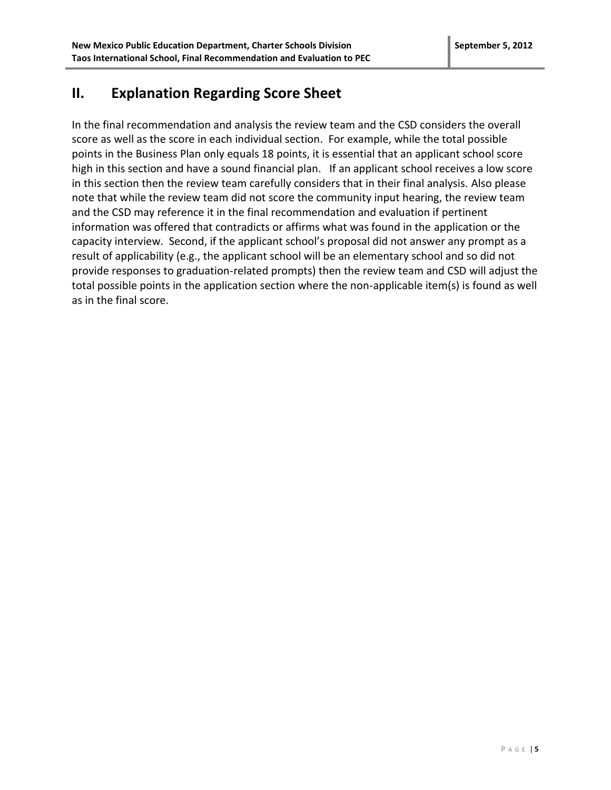### **II. Explanation Regarding Score Sheet**

In the final recommendation and analysis the review team and the CSD considers the overall score as well as the score in each individual section. For example, while the total possible points in the Business Plan only equals 18 points, it is essential that an applicant school score high in this section and have a sound financial plan. If an applicant school receives a low score in this section then the review team carefully considers that in their final analysis. Also please note that while the review team did not score the community input hearing, the review team and the CSD may reference it in the final recommendation and evaluation if pertinent information was offered that contradicts or affirms what was found in the application or the capacity interview. Second, if the applicant school's proposal did not answer any prompt as a result of applicability (e.g., the applicant school will be an elementary school and so did not provide responses to graduation-related prompts) then the review team and CSD will adjust the total possible points in the application section where the non-applicable item(s) is found as well as in the final score.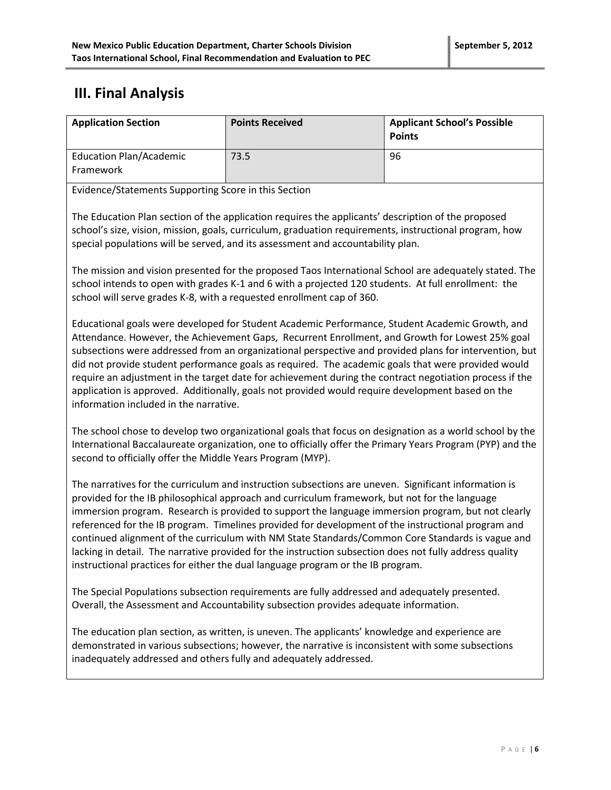# **III. Final Analysis**

| <b>Application Section</b>                  | <b>Points Received</b> | <b>Applicant School's Possible</b><br><b>Points</b> |
|---------------------------------------------|------------------------|-----------------------------------------------------|
| <b>Education Plan/Academic</b><br>Framework | 73.5                   | 96                                                  |

Evidence/Statements Supporting Score in this Section

The Education Plan section of the application requires the applicants' description of the proposed school's size, vision, mission, goals, curriculum, graduation requirements, instructional program, how special populations will be served, and its assessment and accountability plan.

The mission and vision presented for the proposed Taos International School are adequately stated. The school intends to open with grades K-1 and 6 with a projected 120 students. At full enrollment: the school will serve grades K-8, with a requested enrollment cap of 360.

Educational goals were developed for Student Academic Performance, Student Academic Growth, and Attendance. However, the Achievement Gaps, Recurrent Enrollment, and Growth for Lowest 25% goal subsections were addressed from an organizational perspective and provided plans for intervention, but did not provide student performance goals as required. The academic goals that were provided would require an adjustment in the target date for achievement during the contract negotiation process if the application is approved. Additionally, goals not provided would require development based on the information included in the narrative.

The school chose to develop two organizational goals that focus on designation as a world school by the International Baccalaureate organization, one to officially offer the Primary Years Program (PYP) and the second to officially offer the Middle Years Program (MYP).

The narratives for the curriculum and instruction subsections are uneven. Significant information is provided for the IB philosophical approach and curriculum framework, but not for the language immersion program. Research is provided to support the language immersion program, but not clearly referenced for the IB program. Timelines provided for development of the instructional program and continued alignment of the curriculum with NM State Standards/Common Core Standards is vague and lacking in detail. The narrative provided for the instruction subsection does not fully address quality instructional practices for either the dual language program or the IB program.

The Special Populations subsection requirements are fully addressed and adequately presented. Overall, the Assessment and Accountability subsection provides adequate information.

The education plan section, as written, is uneven. The applicants' knowledge and experience are demonstrated in various subsections; however, the narrative is inconsistent with some subsections inadequately addressed and others fully and adequately addressed.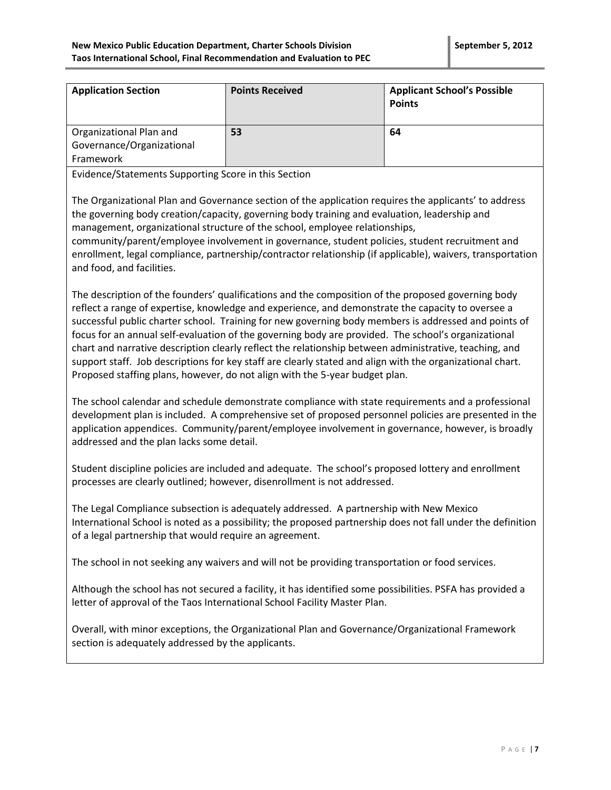| <b>Application Section</b>                           | <b>Points Received</b> | <b>Applicant School's Possible</b><br><b>Points</b> |
|------------------------------------------------------|------------------------|-----------------------------------------------------|
| Organizational Plan and<br>Governance/Organizational | 53                     | 64                                                  |
| Framework                                            |                        |                                                     |

Evidence/Statements Supporting Score in this Section

The Organizational Plan and Governance section of the application requires the applicants' to address the governing body creation/capacity, governing body training and evaluation, leadership and management, organizational structure of the school, employee relationships,

community/parent/employee involvement in governance, student policies, student recruitment and enrollment, legal compliance, partnership/contractor relationship (if applicable), waivers, transportation and food, and facilities.

The description of the founders' qualifications and the composition of the proposed governing body reflect a range of expertise, knowledge and experience, and demonstrate the capacity to oversee a successful public charter school. Training for new governing body members is addressed and points of focus for an annual self-evaluation of the governing body are provided. The school's organizational chart and narrative description clearly reflect the relationship between administrative, teaching, and support staff. Job descriptions for key staff are clearly stated and align with the organizational chart. Proposed staffing plans, however, do not align with the 5-year budget plan.

The school calendar and schedule demonstrate compliance with state requirements and a professional development plan is included. A comprehensive set of proposed personnel policies are presented in the application appendices. Community/parent/employee involvement in governance, however, is broadly addressed and the plan lacks some detail.

Student discipline policies are included and adequate. The school's proposed lottery and enrollment processes are clearly outlined; however, disenrollment is not addressed.

The Legal Compliance subsection is adequately addressed. A partnership with New Mexico International School is noted as a possibility; the proposed partnership does not fall under the definition of a legal partnership that would require an agreement.

The school in not seeking any waivers and will not be providing transportation or food services.

Although the school has not secured a facility, it has identified some possibilities. PSFA has provided a letter of approval of the Taos International School Facility Master Plan.

Overall, with minor exceptions, the Organizational Plan and Governance/Organizational Framework section is adequately addressed by the applicants.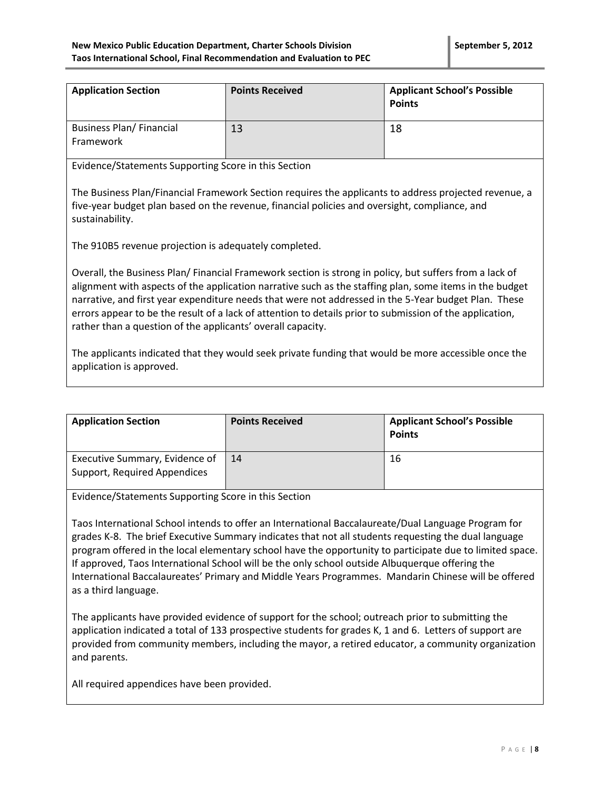| <b>Application Section</b>                   | <b>Points Received</b> | <b>Applicant School's Possible</b><br><b>Points</b> |
|----------------------------------------------|------------------------|-----------------------------------------------------|
| <b>Business Plan/ Financial</b><br>Framework | 13                     | 18                                                  |

Evidence/Statements Supporting Score in this Section

The Business Plan/Financial Framework Section requires the applicants to address projected revenue, a five-year budget plan based on the revenue, financial policies and oversight, compliance, and sustainability.

The 910B5 revenue projection is adequately completed.

Overall, the Business Plan/ Financial Framework section is strong in policy, but suffers from a lack of alignment with aspects of the application narrative such as the staffing plan, some items in the budget narrative, and first year expenditure needs that were not addressed in the 5-Year budget Plan. These errors appear to be the result of a lack of attention to details prior to submission of the application, rather than a question of the applicants' overall capacity.

The applicants indicated that they would seek private funding that would be more accessible once the application is approved.

| <b>Application Section</b>                                     | <b>Points Received</b> | <b>Applicant School's Possible</b><br><b>Points</b> |
|----------------------------------------------------------------|------------------------|-----------------------------------------------------|
| Executive Summary, Evidence of<br>Support, Required Appendices | 14                     | 16                                                  |

Evidence/Statements Supporting Score in this Section

Taos International School intends to offer an International Baccalaureate/Dual Language Program for grades K-8. The brief Executive Summary indicates that not all students requesting the dual language program offered in the local elementary school have the opportunity to participate due to limited space. If approved, Taos International School will be the only school outside Albuquerque offering the International Baccalaureates' Primary and Middle Years Programmes. Mandarin Chinese will be offered as a third language.

The applicants have provided evidence of support for the school; outreach prior to submitting the application indicated a total of 133 prospective students for grades K, 1 and 6. Letters of support are provided from community members, including the mayor, a retired educator, a community organization and parents.

All required appendices have been provided.